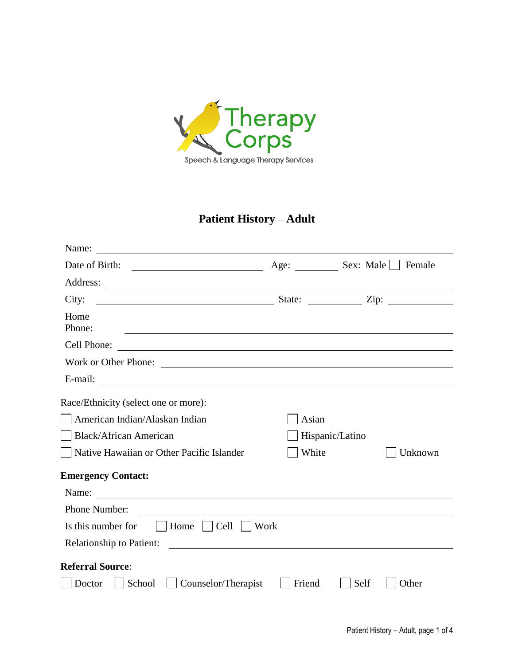

## **Patient History** – **Adult**

| Name:                                                                      |                |                 |             |
|----------------------------------------------------------------------------|----------------|-----------------|-------------|
| Date of Birth:                                                             | Age: Sex: Male |                 | Female      |
|                                                                            |                |                 |             |
| City:<br><u> 1989 - Johann Barn, fransk politik (</u>                      |                |                 | State: Zip: |
| Home<br>Phone:                                                             |                |                 |             |
| Cell Phone:                                                                |                |                 |             |
| Work or Other Phone:                                                       |                |                 |             |
| E-mail:<br><u> 1989 - Johann Barn, fransk politik amerikansk politik (</u> |                |                 |             |
| Race/Ethnicity (select one or more):                                       |                |                 |             |
| American Indian/Alaskan Indian                                             | Asian          |                 |             |
| <b>Black/African American</b>                                              |                | Hispanic/Latino |             |
| Native Hawaiian or Other Pacific Islander                                  | White          |                 | Unknown     |
| <b>Emergency Contact:</b>                                                  |                |                 |             |
| Name:                                                                      |                |                 |             |
| Phone Number:                                                              |                |                 |             |
| Is this number for<br>Home<br>$\vert$ $\vert$ Cell                         | Work           |                 |             |
| Relationship to Patient:                                                   |                |                 |             |
| <b>Referral Source:</b>                                                    |                |                 |             |
| School<br>Counselor/Therapist<br>Doctor                                    | Friend         | Self            | Other       |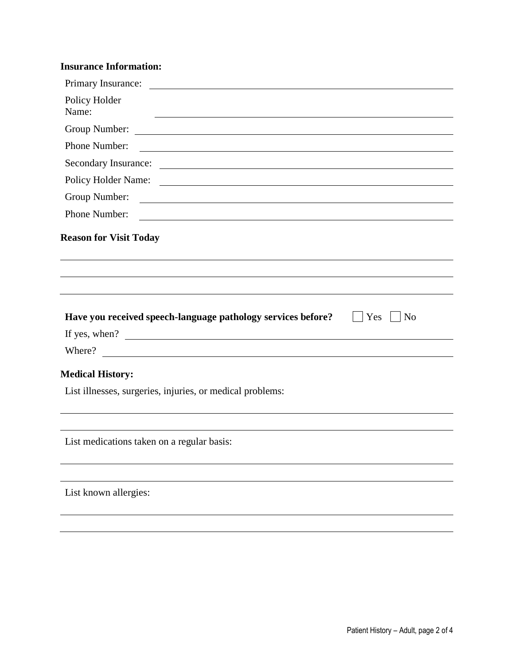## **Insurance Information:**

| Policy Holder<br>Name:                                                                                                                |
|---------------------------------------------------------------------------------------------------------------------------------------|
| Group Number:<br><u> 1980 - Johann Barbara, martxa amerikan personal (</u>                                                            |
| Phone Number:<br><u> 1989 - Johann Barbara, marka a shekara tsa 1989 - An tsa 1989 - An tsa 1989 - An tsa 1989 - An tsa 1989 - An</u> |
|                                                                                                                                       |
|                                                                                                                                       |
| Group Number:<br><u> 1980 - Johann Barn, fransk politik fotograf (d. 1980)</u>                                                        |
| Phone Number:<br><u> 1980 - Andrea Stadt Britain, amerikansk politik (</u>                                                            |
| <b>Reason for Visit Today</b>                                                                                                         |
|                                                                                                                                       |
|                                                                                                                                       |
| Have you received speech-language pathology services before?<br>Yes<br>N <sub>o</sub>                                                 |
| If yes, when?<br>Where?<br><u> 1989 - Johann Barn, mars ar breithinn ar chwaraeth a bhaile ann an t-</u>                              |
| <b>Medical History:</b>                                                                                                               |
| List illnesses, surgeries, injuries, or medical problems:                                                                             |
| List medications taken on a regular basis:                                                                                            |
|                                                                                                                                       |

Patient History – Adult, page 2 of 4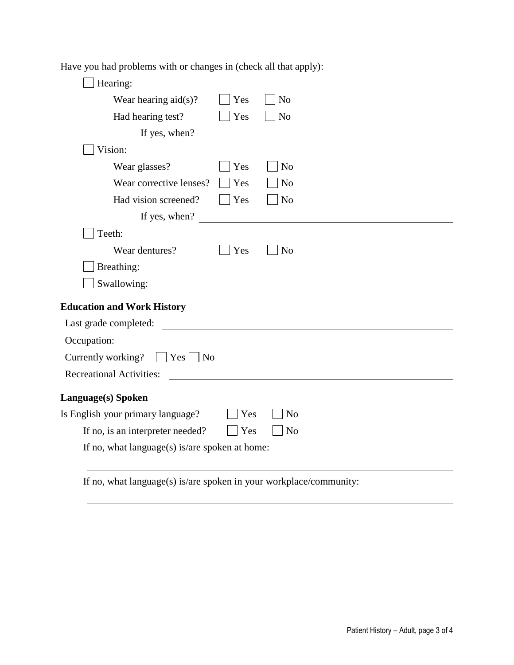Have you had problems with or changes in (check all that apply):

| Hearing:                                       |     |                                                                                                                                                                                                                                      |
|------------------------------------------------|-----|--------------------------------------------------------------------------------------------------------------------------------------------------------------------------------------------------------------------------------------|
| Wear hearing $aid(s)?$                         | Yes | N <sub>o</sub>                                                                                                                                                                                                                       |
| Had hearing test?                              | Yes | N <sub>o</sub>                                                                                                                                                                                                                       |
| If yes, when?                                  |     |                                                                                                                                                                                                                                      |
| Vision:                                        |     |                                                                                                                                                                                                                                      |
| Wear glasses?                                  | Yes | N <sub>o</sub>                                                                                                                                                                                                                       |
| Wear corrective lenses?                        | Yes | N <sub>o</sub>                                                                                                                                                                                                                       |
| Had vision screened?                           | Yes | N <sub>o</sub>                                                                                                                                                                                                                       |
| If yes, when?                                  |     |                                                                                                                                                                                                                                      |
| Teeth:                                         |     |                                                                                                                                                                                                                                      |
| Wear dentures?                                 | Yes | N <sub>o</sub>                                                                                                                                                                                                                       |
| Breathing:                                     |     |                                                                                                                                                                                                                                      |
| Swallowing:                                    |     |                                                                                                                                                                                                                                      |
| <b>Education and Work History</b>              |     |                                                                                                                                                                                                                                      |
| Last grade completed:                          |     | <u> Andreas Andreas Andreas Andreas Andreas Andreas Andreas Andreas Andreas Andreas Andreas Andreas Andreas Andreas Andreas Andreas Andreas Andreas Andreas Andreas Andreas Andreas Andreas Andreas Andreas Andreas Andreas Andr</u> |
| Occupation:                                    |     |                                                                                                                                                                                                                                      |
| $ $ $ $ Yes $ $ $ $ No<br>Currently working?   |     |                                                                                                                                                                                                                                      |
| <b>Recreational Activities:</b>                |     |                                                                                                                                                                                                                                      |
| Language(s) Spoken                             |     |                                                                                                                                                                                                                                      |
| Is English your primary language?              | Yes | N <sub>0</sub>                                                                                                                                                                                                                       |
| If no, is an interpreter needed?               | Yes | N <sub>o</sub>                                                                                                                                                                                                                       |
| If no, what language(s) is/are spoken at home: |     |                                                                                                                                                                                                                                      |
|                                                |     |                                                                                                                                                                                                                                      |

If no, what language(s) is/are spoken in your workplace/community: